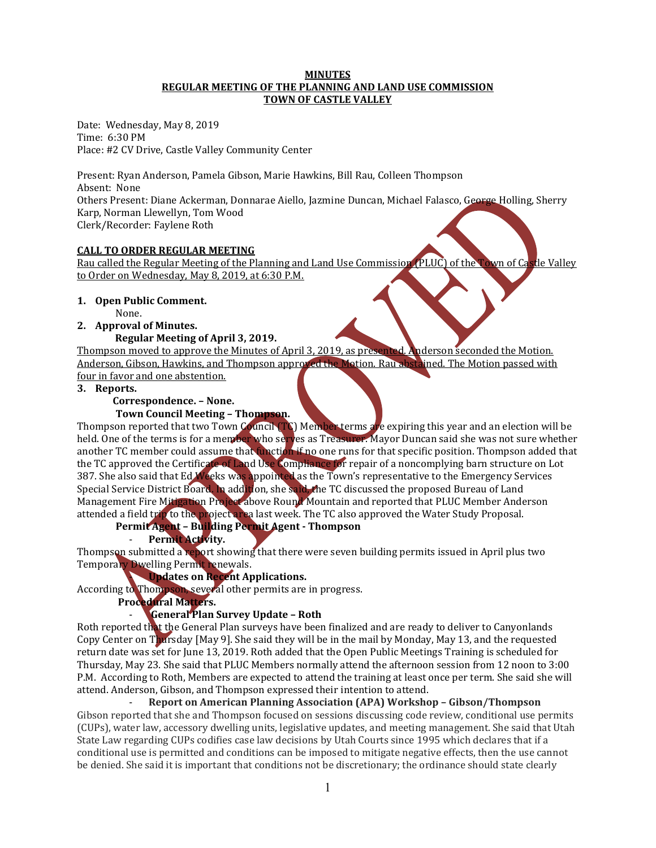#### **MINUTES REGULAR MEETING OF THE PLANNING AND LAND USE COMMISSION TOWN OF CASTLE VALLEY**

Date: Wednesday, May 8, 2019 Time: 6:30 PM Place: #2 CV Drive, Castle Valley Community Center

Present: Ryan Anderson, Pamela Gibson, Marie Hawkins, Bill Rau, Colleen Thompson Absent: None Others Present: Diane Ackerman, Donnarae Aiello, Jazmine Duncan, Michael Falasco, George Holling, Sherry Karp, Norman Llewellyn, Tom Wood Clerk/Recorder: Faylene Roth

#### **CALL TO ORDER REGULAR MEETING**

Rau called the Regular Meeting of the Planning and Land Use Commission (PLUC) of the Town of Castle Valley to Order on Wednesday, May 8, 2019, at 6:30 P.M.

## **1. Open Public Comment.**

None.

# **2. Approval of Minutes.**

## **Regular Meeting of April 3, 2019.**

Thompson moved to approve the Minutes of April 3, 2019, as presented. Anderson seconded the Motion. Anderson, Gibson, Hawkins, and Thompson approved the Motion. Rau abstained. The Motion passed with four in favor and one abstention.

**3. Reports.**

# **Correspondence. – None.**

## **Town Council Meeting – Thompson.**

Thompson reported that two Town Council (TC) Member terms are expiring this year and an election will be held. One of the terms is for a member who serves as Treasurer. Mayor Duncan said she was not sure whether another TC member could assume that function if no one runs for that specific position. Thompson added that the TC approved the Certificate of Land Use Compliance for repair of a noncomplying barn structure on Lot 387. She also said that Ed Weeks was appointed as the Town's representative to the Emergency Services Special Service District Board. In addition, she said, the TC discussed the proposed Bureau of Land Management Fire Mitigation Project above Round Mountain and reported that PLUC Member Anderson attended a field trip to the project area last week. The TC also approved the Water Study Proposal.

**Permit Agent – Building Permit Agent - Thompson**

# - **Permit Activity.**

Thompson submitted a report showing that there were seven building permits issued in April plus two Temporary Dwelling Permit renewals.

# - **Updates on Recent Applications.**

According to Thompson, several other permits are in progress.

**Procedural Matters.** 

# - **General Plan Survey Update – Roth**

Roth reported that the General Plan surveys have been finalized and are ready to deliver to Canyonlands Copy Center on Thursday [May 9]. She said they will be in the mail by Monday, May 13, and the requested return date was set for June 13, 2019. Roth added that the Open Public Meetings Training is scheduled for Thursday, May 23. She said that PLUC Members normally attend the afternoon session from 12 noon to 3:00 P.M. According to Roth, Members are expected to attend the training at least once per term. She said she will attend. Anderson, Gibson, and Thompson expressed their intention to attend.

#### - **Report on American Planning Association (APA) Workshop – Gibson/Thompson**

Gibson reported that she and Thompson focused on sessions discussing code review, conditional use permits (CUPs), water law, accessory dwelling units, legislative updates, and meeting management. She said that Utah State Law regarding CUPs codifies case law decisions by Utah Courts since 1995 which declares that if a conditional use is permitted and conditions can be imposed to mitigate negative effects, then the use cannot be denied. She said it is important that conditions not be discretionary; the ordinance should state clearly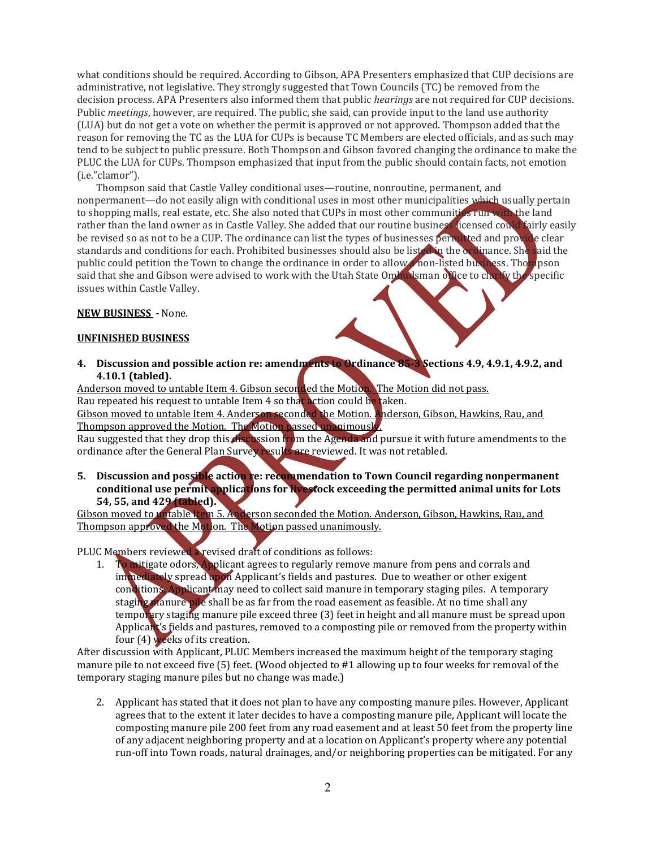what conditions should be required. According to Gibson, APA Presenters emphasized that CUP decisions are administrative, not legislative. They strongly suggested that Town Councils (TC) be removed from the decision process. APA Presenters also informed them that public *hearings* are not required for CUP decisions. Public *meetings*, however, are required. The public, she said, can provide input to the land use authority (LUA) but do not get a vote on whether the permit is approved or not approved. Thompson added that the reason for removing the TC as the LUA for CUPs is because TC Members are elected officials, and as such may tend to be subject to public pressure. Both Thompson and Gibson favored changing the ordinance to make the PLUC the LUA for CUPs. Thompson emphasized that input from the public should contain facts, not emotion (i.e."clamor").

Thompson said that Castle Valley conditional uses—routine, nonroutine, permanent, and nonpermanent—do not easily align with conditional uses in most other municipalities which usually pertain to shopping malls, real estate, etc. She also noted that CUPs in most other communities run with the land rather than the land owner as in Castle Valley. She added that our routine business licensed could fairly easily be revised so as not to be a CUP. The ordinance can list the types of businesses permitted and provide clear standards and conditions for each. Prohibited businesses should also be listed in the ordinance. She said the public could petition the Town to change the ordinance in order to allow a non-listed business. The proson said that she and Gibson were advised to work with the Utah State Ombudsman of fice to clarify the specific issues within Castle Valley.

#### **NEW BUSINESS -** None.

#### **UNFINISHED BUSINESS**

**4. Discussion and possible action re: amendments to Ordinance 85-3 Sections 4.9, 4.9.1, 4.9.2, and 4.10.1 (tabled).**

Anderson moved to untable Item 4. Gibson seconded the Motion. The Motion did not pass. Rau repeated his request to untable Item 4 so that action could be taken. Gibson moved to untable Item 4. Anderson seconded the Motion. Anderson, Gibson, Hawkins, Rau, and

Thompson approved the Motion. The Motion passed unanimously.

Rau suggested that they drop this discussion from the Agenda and pursue it with future amendments to the ordinance after the General Plan Survey results are reviewed. It was not retabled.

**5. Discussion and possible action re: recommendation to Town Council regarding nonpermanent conditional use permit applications for livestock exceeding the permitted animal units for Lots 54, 55, and 429 (tabled).**

Gibson moved to untable Item 5. Anderson seconded the Motion. Anderson, Gibson, Hawkins, Rau, and Thompson approved the Motion. The Motion passed unanimously.

PLUC Members reviewed a revised draft of conditions as follows:

1. To mitigate odors, Applicant agrees to regularly remove manure from pens and corrals and immediately spread upon Applicant's fields and pastures. Due to weather or other exigent conditions, Applicant may need to collect said manure in temporary staging piles. A temporary staging manure pile shall be as far from the road easement as feasible. At no time shall any temporary staging manure pile exceed three (3) feet in height and all manure must be spread upon Applicant's fields and pastures, removed to a composting pile or removed from the property within four (4) weeks of its creation.

After discussion with Applicant, PLUC Members increased the maximum height of the temporary staging manure pile to not exceed five (5) feet. (Wood objected to #1 allowing up to four weeks for removal of the temporary staging manure piles but no change was made.)

2. Applicant has stated that it does not plan to have any composting manure piles. However, Applicant agrees that to the extent it later decides to have a composting manure pile, Applicant will locate the composting manure pile 200 feet from any road easement and at least 50 feet from the property line of any adjacent neighboring property and at a location on Applicant's property where any potential run-off into Town roads, natural drainages, and/or neighboring properties can be mitigated. For any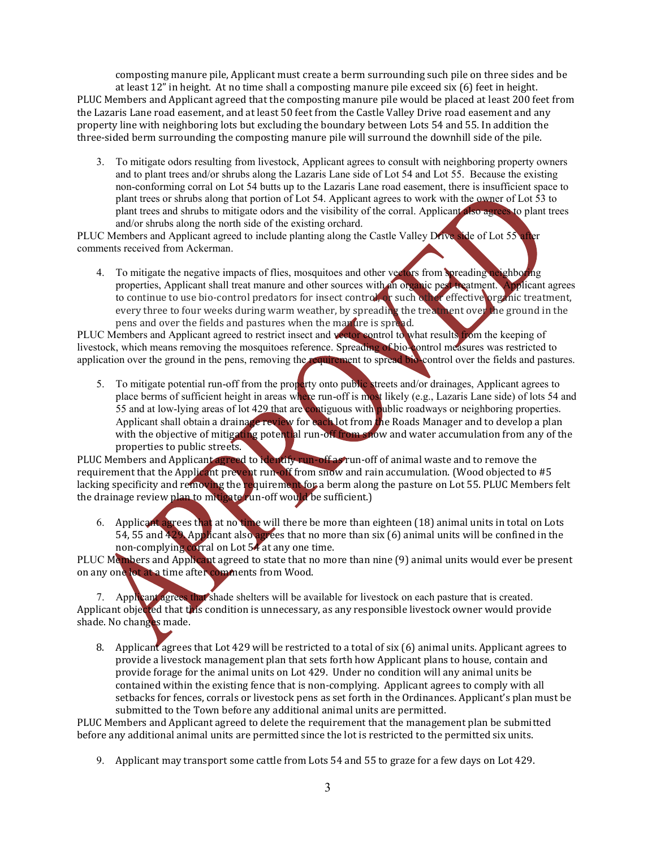composting manure pile, Applicant must create a berm surrounding such pile on three sides and be at least 12" in height. At no time shall a composting manure pile exceed six (6) feet in height. PLUC Members and Applicant agreed that the composting manure pile would be placed at least 200 feet from the Lazaris Lane road easement, and at least 50 feet from the Castle Valley Drive road easement and any property line with neighboring lots but excluding the boundary between Lots 54 and 55. In addition the three-sided berm surrounding the composting manure pile will surround the downhill side of the pile.

3. To mitigate odors resulting from livestock, Applicant agrees to consult with neighboring property owners and to plant trees and/or shrubs along the Lazaris Lane side of Lot 54 and Lot 55. Because the existing non-conforming corral on Lot 54 butts up to the Lazaris Lane road easement, there is insufficient space to plant trees or shrubs along that portion of Lot 54. Applicant agrees to work with the owner of Lot 53 to plant trees and shrubs to mitigate odors and the visibility of the corral. Applicant also agrees to plant trees and/or shrubs along the north side of the existing orchard.

PLUC Members and Applicant agreed to include planting along the Castle Valley Drive side of Lot 55 after comments received from Ackerman.

4. To mitigate the negative impacts of flies, mosquitoes and other vectors from spreading neighboring properties, Applicant shall treat manure and other sources with an organic pest treatment. Applicant agrees to continue to use bio-control predators for insect control, or such other effective organic treatment, every three to four weeks during warm weather, by spreading the treatment over the ground in the pens and over the fields and pastures when the manure is spread.

PLUC Members and Applicant agreed to restrict insect and vector control to what results from the keeping of livestock, which means removing the mosquitoes reference. Spreading of bio-control measures was restricted to application over the ground in the pens, removing the requirement to spread bio-control over the fields and pastures.

5. To mitigate potential run-off from the property onto public streets and/or drainages, Applicant agrees to place berms of sufficient height in areas where run-off is most likely (e.g., Lazaris Lane side) of lots 54 and 55 and at low-lying areas of lot 429 that are contiguous with public roadways or neighboring properties*.*  Applicant shall obtain a drainage review for each lot from the Roads Manager and to develop a plan with the objective of mitigating potential run-off from snow and water accumulation from any of the properties to public streets.

PLUC Members and Applicant agreed to identify run-off as run-off of animal waste and to remove the requirement that the Applicant prevent run-off from snow and rain accumulation. (Wood objected to #5 lacking specificity and removing the requirement for a berm along the pasture on Lot 55. PLUC Members felt the drainage review plan to mitigate run-off would be sufficient.)

6. Applicant agrees that at no time will there be more than eighteen (18) animal units in total on Lots 54, 55 and 429. Applicant also agrees that no more than six (6) animal units will be confined in the non-complying corral on Lot 54 at any one time.

PLUC Members and Applicant agreed to state that no more than nine (9) animal units would ever be present on any one lot at a time after comments from Wood.

7. Applicant agrees that shade shelters will be available for livestock on each pasture that is created. Applicant objected that this condition is unnecessary, as any responsible livestock owner would provide shade. No changes made.

8. Applicant agrees that Lot 429 will be restricted to a total of six (6) animal units. Applicant agrees to provide a livestock management plan that sets forth how Applicant plans to house, contain and provide forage for the animal units on Lot 429. Under no condition will any animal units be contained within the existing fence that is non-complying. Applicant agrees to comply with all setbacks for fences, corrals or livestock pens as set forth in the Ordinances. Applicant's plan must be submitted to the Town before any additional animal units are permitted.

PLUC Members and Applicant agreed to delete the requirement that the management plan be submitted before any additional animal units are permitted since the lot is restricted to the permitted six units.

9. Applicant may transport some cattle from Lots 54 and 55 to graze for a few days on Lot 429.